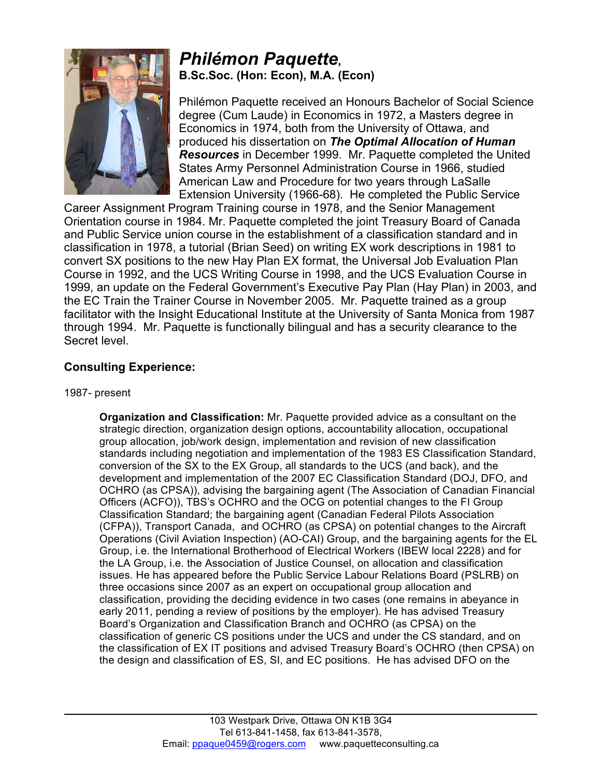

# *Philémon Paquette***, B.Sc.Soc. (Hon: Econ), M.A. (Econ)**

Philémon Paquette received an Honours Bachelor of Social Science degree (Cum Laude) in Economics in 1972, a Masters degree in Economics in 1974, both from the University of Ottawa, and produced his dissertation on *The Optimal Allocation of Human Resources* in December 1999. Mr. Paquette completed the United States Army Personnel Administration Course in 1966, studied American Law and Procedure for two years through LaSalle Extension University (1966-68). He completed the Public Service

Career Assignment Program Training course in 1978, and the Senior Management Orientation course in 1984. Mr. Paquette completed the joint Treasury Board of Canada and Public Service union course in the establishment of a classification standard and in classification in 1978, a tutorial (Brian Seed) on writing EX work descriptions in 1981 to convert SX positions to the new Hay Plan EX format, the Universal Job Evaluation Plan Course in 1992, and the UCS Writing Course in 1998, and the UCS Evaluation Course in 1999, an update on the Federal Government's Executive Pay Plan (Hay Plan) in 2003, and the EC Train the Trainer Course in November 2005. Mr. Paquette trained as a group facilitator with the Insight Educational Institute at the University of Santa Monica from 1987 through 1994. Mr. Paquette is functionally bilingual and has a security clearance to the Secret level.

## **Consulting Experience:**

#### 1987- present

**Organization and Classification:** Mr. Paquette provided advice as a consultant on the strategic direction, organization design options, accountability allocation, occupational group allocation, job/work design, implementation and revision of new classification standards including negotiation and implementation of the 1983 ES Classification Standard, conversion of the SX to the EX Group, all standards to the UCS (and back), and the development and implementation of the 2007 EC Classification Standard (DOJ, DFO, and OCHRO (as CPSA)), advising the bargaining agent (The Association of Canadian Financial Officers (ACFO)), TBS's OCHRO and the OCG on potential changes to the FI Group Classification Standard; the bargaining agent (Canadian Federal Pilots Association (CFPA)), Transport Canada, and OCHRO (as CPSA) on potential changes to the Aircraft Operations (Civil Aviation Inspection) (AO-CAI) Group, and the bargaining agents for the EL Group, i.e. the International Brotherhood of Electrical Workers (IBEW local 2228) and for the LA Group, i.e. the Association of Justice Counsel, on allocation and classification issues. He has appeared before the Public Service Labour Relations Board (PSLRB) on three occasions since 2007 as an expert on occupational group allocation and classification, providing the deciding evidence in two cases (one remains in abeyance in early 2011, pending a review of positions by the employer). He has advised Treasury Board's Organization and Classification Branch and OCHRO (as CPSA) on the classification of generic CS positions under the UCS and under the CS standard, and on the classification of EX IT positions and advised Treasury Board's OCHRO (then CPSA) on the design and classification of ES, SI, and EC positions. He has advised DFO on the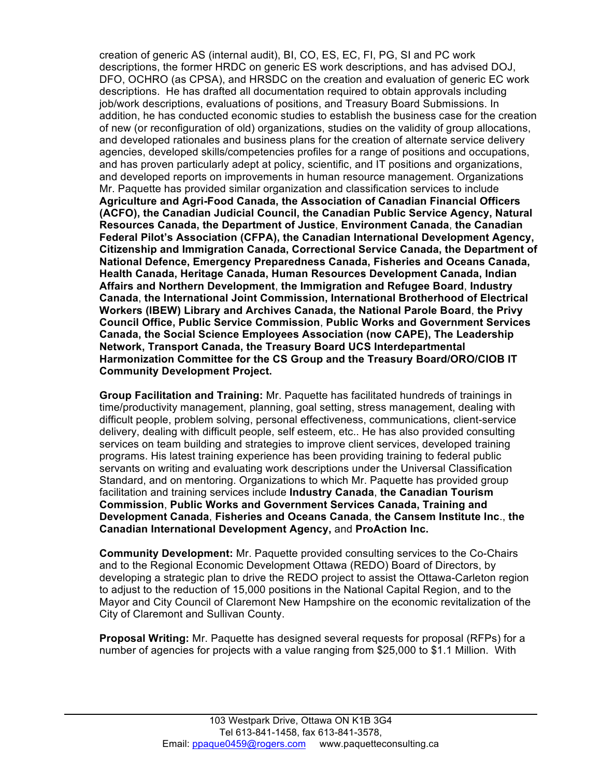creation of generic AS (internal audit), BI, CO, ES, EC, FI, PG, SI and PC work descriptions, the former HRDC on generic ES work descriptions, and has advised DOJ, DFO, OCHRO (as CPSA), and HRSDC on the creation and evaluation of generic EC work descriptions. He has drafted all documentation required to obtain approvals including job/work descriptions, evaluations of positions, and Treasury Board Submissions. In addition, he has conducted economic studies to establish the business case for the creation of new (or reconfiguration of old) organizations, studies on the validity of group allocations, and developed rationales and business plans for the creation of alternate service delivery agencies, developed skills/competencies profiles for a range of positions and occupations, and has proven particularly adept at policy, scientific, and IT positions and organizations, and developed reports on improvements in human resource management. Organizations Mr. Paquette has provided similar organization and classification services to include **Agriculture and Agri-Food Canada, the Association of Canadian Financial Officers (ACFO), the Canadian Judicial Council, the Canadian Public Service Agency, Natural Resources Canada, the Department of Justice**, **Environment Canada**, **the Canadian Federal Pilot's Association (CFPA), the Canadian International Development Agency, Citizenship and Immigration Canada, Correctional Service Canada, the Department of National Defence, Emergency Preparedness Canada, Fisheries and Oceans Canada, Health Canada, Heritage Canada, Human Resources Development Canada, Indian Affairs and Northern Development**, **the Immigration and Refugee Board**, **Industry Canada**, **the International Joint Commission, International Brotherhood of Electrical Workers (IBEW) Library and Archives Canada, the National Parole Board**, **the Privy Council Office, Public Service Commission**, **Public Works and Government Services Canada, the Social Science Employees Association (now CAPE), The Leadership Network, Transport Canada, the Treasury Board UCS Interdepartmental Harmonization Committee for the CS Group and the Treasury Board/ORO/CIOB IT Community Development Project.**

**Group Facilitation and Training:** Mr. Paquette has facilitated hundreds of trainings in time/productivity management, planning, goal setting, stress management, dealing with difficult people, problem solving, personal effectiveness, communications, client-service delivery, dealing with difficult people, self esteem, etc.. He has also provided consulting services on team building and strategies to improve client services, developed training programs. His latest training experience has been providing training to federal public servants on writing and evaluating work descriptions under the Universal Classification Standard, and on mentoring. Organizations to which Mr. Paquette has provided group facilitation and training services include **Industry Canada**, **the Canadian Tourism Commission**, **Public Works and Government Services Canada, Training and Development Canada**, **Fisheries and Oceans Canada**, **the Cansem Institute Inc**., **the Canadian International Development Agency,** and **ProAction Inc.**

**Community Development:** Mr. Paquette provided consulting services to the Co-Chairs and to the Regional Economic Development Ottawa (REDO) Board of Directors, by developing a strategic plan to drive the REDO project to assist the Ottawa-Carleton region to adjust to the reduction of 15,000 positions in the National Capital Region, and to the Mayor and City Council of Claremont New Hampshire on the economic revitalization of the City of Claremont and Sullivan County.

**Proposal Writing:** Mr. Paquette has designed several requests for proposal (RFPs) for a number of agencies for projects with a value ranging from \$25,000 to \$1.1 Million. With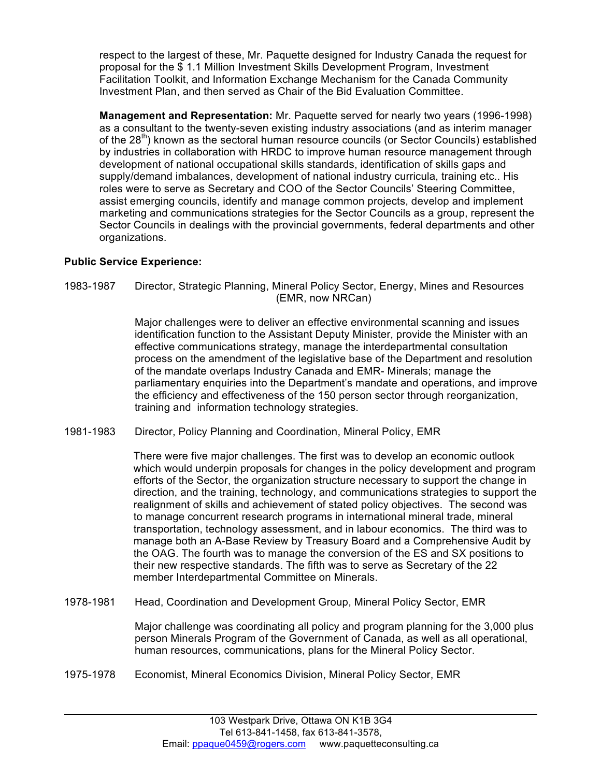respect to the largest of these, Mr. Paquette designed for Industry Canada the request for proposal for the \$ 1.1 Million Investment Skills Development Program, Investment Facilitation Toolkit, and Information Exchange Mechanism for the Canada Community Investment Plan, and then served as Chair of the Bid Evaluation Committee.

**Management and Representation:** Mr. Paquette served for nearly two years (1996-1998) as a consultant to the twenty-seven existing industry associations (and as interim manager of the 28<sup>th</sup>) known as the sectoral human resource councils (or Sector Councils) established by industries in collaboration with HRDC to improve human resource management through development of national occupational skills standards, identification of skills gaps and supply/demand imbalances, development of national industry curricula, training etc.. His roles were to serve as Secretary and COO of the Sector Councils' Steering Committee, assist emerging councils, identify and manage common projects, develop and implement marketing and communications strategies for the Sector Councils as a group, represent the Sector Councils in dealings with the provincial governments, federal departments and other organizations.

### **Public Service Experience:**

1983-1987 Director, Strategic Planning, Mineral Policy Sector, Energy, Mines and Resources (EMR, now NRCan)

> Major challenges were to deliver an effective environmental scanning and issues identification function to the Assistant Deputy Minister, provide the Minister with an effective communications strategy, manage the interdepartmental consultation process on the amendment of the legislative base of the Department and resolution of the mandate overlaps Industry Canada and EMR- Minerals; manage the parliamentary enquiries into the Department's mandate and operations, and improve the efficiency and effectiveness of the 150 person sector through reorganization, training and information technology strategies.

1981-1983 Director, Policy Planning and Coordination, Mineral Policy, EMR

There were five major challenges. The first was to develop an economic outlook which would underpin proposals for changes in the policy development and program efforts of the Sector, the organization structure necessary to support the change in direction, and the training, technology, and communications strategies to support the realignment of skills and achievement of stated policy objectives. The second was to manage concurrent research programs in international mineral trade, mineral transportation, technology assessment, and in labour economics. The third was to manage both an A-Base Review by Treasury Board and a Comprehensive Audit by the OAG. The fourth was to manage the conversion of the ES and SX positions to their new respective standards. The fifth was to serve as Secretary of the 22 member Interdepartmental Committee on Minerals.

1978-1981 Head, Coordination and Development Group, Mineral Policy Sector, EMR

Major challenge was coordinating all policy and program planning for the 3,000 plus person Minerals Program of the Government of Canada, as well as all operational, human resources, communications, plans for the Mineral Policy Sector.

1975-1978 Economist, Mineral Economics Division, Mineral Policy Sector, EMR